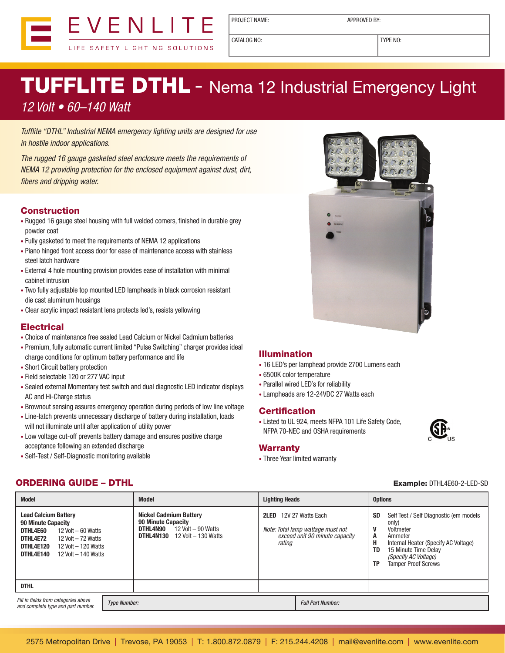

PROJECT NAME:  $\vert$  APPROVED BY:

CATALOG NO: TYPE NO:

# TUFFLITE DTHL - Nema 12 Industrial Emergency Light

## *12 Volt • 60–140 Watt*

*Tufflite "DTHL" Industrial NEMA emergency lighting units are designed for use in hostile indoor applications.*

*The rugged 16 gauge gasketed steel enclosure meets the requirements of NEMA 12 providing protection for the enclosed equipment against dust, dirt, fibers and dripping water.*

#### Construction

- Rugged 16 gauge steel housing with full welded corners, finished in durable grey powder coat
- Fully gasketed to meet the requirements of NEMA 12 applications
- Piano hinged front access door for ease of maintenance access with stainless steel latch hardware
- External 4 hole mounting provision provides ease of installation with minimal cabinet intrusion
- Two fully adjustable top mounted LED lampheads in black corrosion resistant die cast aluminum housings
- Clear acrylic impact resistant lens protects led's, resists yellowing

#### **Electrical**

- Choice of maintenance free sealed Lead Calcium or Nickel Cadmium batteries
- Premium, fully automatic current limited "Pulse Switching" charger provides ideal charge conditions for optimum battery performance and life
- Short Circuit battery protection
- Field selectable 120 or 277 VAC input
- Sealed external Momentary test switch and dual diagnostic LED indicator displays AC and Hi-Charge status
- Brownout sensing assures emergency operation during periods of low line voltage
- Line-latch prevents unnecessary discharge of battery during installation, loads will not illuminate until after application of utility power
- Low voltage cut-off prevents battery damage and ensures positive charge acceptance following an extended discharge
- Self-Test / Self-Diagnostic monitoring available

#### Illumination

- 16 LED's per lamphead provide 2700 Lumens each
- 6500K color temperature
- Parallel wired LED's for reliability
- Lampheads are 12-24VDC 27 Watts each

#### **Certification**

• Listed to UL 924, meets NFPA 101 Life Safety Code, NFPA 70-NEC and OSHA requirements

#### **Warranty**

• Three Year limited warranty

### **ORDERING GUIDE – DTHL Example: DTHL4E60-2-LED-SD**

| <b>Model</b>                                                                                                                                                                                      | <b>Model</b>                                                                                                                              | <b>Lighting Heads</b>                                                                                      |                                             | <b>Options</b>                                                                                                                                                                                |
|---------------------------------------------------------------------------------------------------------------------------------------------------------------------------------------------------|-------------------------------------------------------------------------------------------------------------------------------------------|------------------------------------------------------------------------------------------------------------|---------------------------------------------|-----------------------------------------------------------------------------------------------------------------------------------------------------------------------------------------------|
| <b>Lead Calcium Battery</b><br>90 Minute Capacity<br>DTHL4E60<br>12 Volt $-60$ Watts<br>DTHL4E72<br>12 Volt $-72$ Watts<br>DTHL4E120<br>12 Volt - 120 Watts<br>DTHL4E140<br>12 Volt $-$ 140 Watts | <b>Nickel Cadmium Battery</b><br><b>90 Minute Capacity</b><br>12 Volt $-90$ Watts<br>DTHL4N90<br><b>DTHL4N130</b> $12$ Volt $- 130$ Watts | 12V 27 Watts Each<br>2LED<br>Note: Total lamp wattage must not<br>exceed unit 90 minute capacity<br>rating | <b>SD</b><br>v<br>A<br>н<br>TD<br><b>TP</b> | Self Test / Self Diagnostic (em models<br>only)<br>Voltmeter<br>Ammeter<br>Internal Heater (Specify AC Voltage)<br>15 Minute Time Delay<br>(Specify AC Voltage)<br><b>Tamper Proof Screws</b> |
| <b>DTHL</b>                                                                                                                                                                                       |                                                                                                                                           |                                                                                                            |                                             |                                                                                                                                                                                               |
| Fill in fields from categories above<br>and complete type and part number.                                                                                                                        | <b>Type Number:</b>                                                                                                                       |                                                                                                            | <b>Full Part Number:</b>                    |                                                                                                                                                                                               |